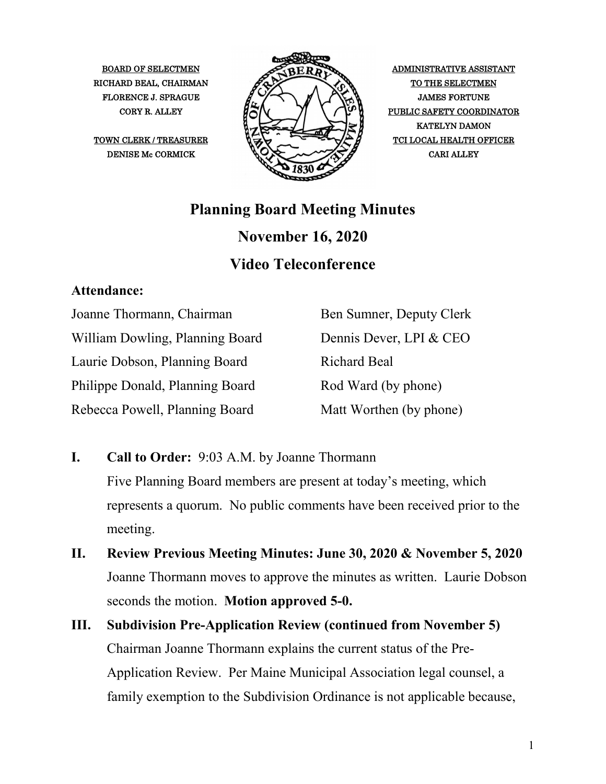

CORY R. ALLEY  $\mathcal{H}(\mathcal{N})$   $\mathcal{N}(\mathcal{N})$  PUBLIC SAFETY COORDINATOR KATELYN DAMON

## **Planning Board Meeting Minutes November 16, 2020 Video Teleconference**

## **Attendance:**

Joanne Thormann, Chairman William Dowling, Planning Board Laurie Dobson, Planning Board Philippe Donald, Planning Board Rebecca Powell, Planning Board

Ben Sumner, Deputy Clerk Dennis Dever, LPI & CEO Richard Beal Rod Ward (by phone) Matt Worthen (by phone)

- **I. Call to Order:** 9:03 A.M. by Joanne Thormann Five Planning Board members are present at today's meeting, which represents a quorum. No public comments have been received prior to the meeting.
- **II. Review Previous Meeting Minutes: June 30, 2020 & November 5, 2020** Joanne Thormann moves to approve the minutes as written. Laurie Dobson seconds the motion. **Motion approved 5-0.**
- **III. Subdivision Pre-Application Review (continued from November 5)** Chairman Joanne Thormann explains the current status of the Pre-Application Review. Per Maine Municipal Association legal counsel, a family exemption to the Subdivision Ordinance is not applicable because,